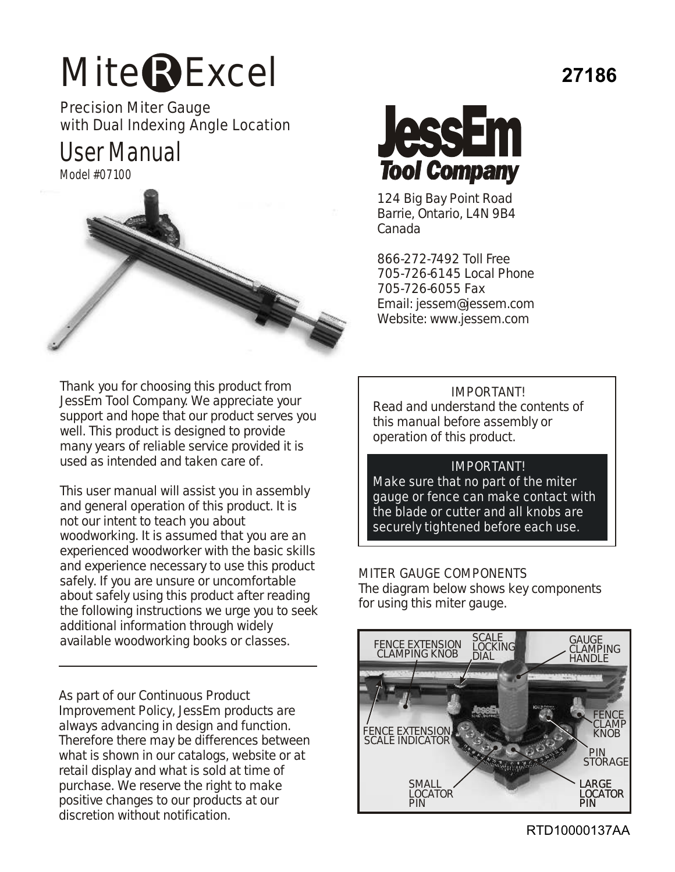# Mite<sup>R</sup>Excel

Precision Miter Gauge with Dual Indexing Angle Location

User Manual

Model #07100



Thank you for choosing this product from JessEm Tool Company. We appreciate your support and hope that our product serves you well. This product is designed to provide many years of reliable service provided it is used as intended and taken care of.

This user manual will assist you in assembly and general operation of this product. It is not our intent to teach you about woodworking. It is assumed that you are an experienced woodworker with the basic skills and experience necessary to use this product safely. If you are unsure or uncomfortable about safely using this product after reading the following instructions we urge you to seek additional information through widely available woodworking books or classes.

As part of our Continuous Product Improvement Policy, JessEm products are always advancing in design and function. Therefore there may be differences between what is shown in our catalogs, website or at retail display and what is sold at time of purchase. We reserve the right to make positive changes to our products at our discretion without notification.



124 Big Bay Point Road Barrie, Ontario, L4N 9B4 Canada

866-272-7492 Toll Free 705-726-6145 Local Phone 705-726-6055 Fax Email: jessem@jessem.com Website: www.jessem.com

IMPORTANT! Read and understand the contents of this manual before assembly or operation of this product.

#### IMPORTANT!

Make sure that no part of the miter gauge or fence can make contact with the blade or cutter and all knobs are securely tightened before each use.

MITER GAUGE COMPONENTS The diagram below shows key components for using this miter gauge.



RTD10000137AA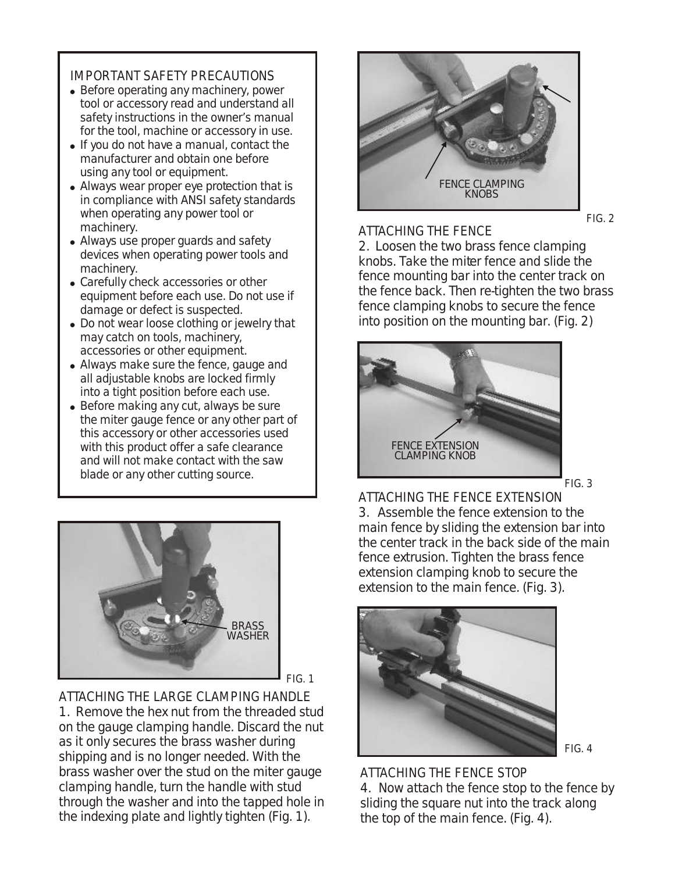### IMPORTANT SAFETY PRECAUTIONS

- Before operating any machinery, power tool or accessory read and understand all safety instructions in the owner's manual for the tool, machine or accessory in use.
- If you do not have a manual, contact the manufacturer and obtain one before using any tool or equipment.
- Always wear proper eye protection that is in compliance with ANSI safety standards when operating any power tool or machinery.
- Always use proper quards and safety devices when operating power tools and machinery.
- Carefully check accessories or other equipment before each use. Do not use if damage or defect is suspected.
- Do not wear loose clothing or jewelry that may catch on tools, machinery, accessories or other equipment.
- Always make sure the fence, gauge and all adjustable knobs are locked firmly into a tight position before each use.
- Before making any cut, always be sure the miter gauge fence or any other part of this accessory or other accessories used with this product offer a safe clearance and will not make contact with the saw blade or any other cutting source.



FIG. 1

ATTACHING THE LARGE CLAMPING HANDLE 1. Remove the hex nut from the threaded stud on the gauge clamping handle. Discard the nut as it only secures the brass washer during shipping and is no longer needed. With the brass washer over the stud on the miter gauge clamping handle, turn the handle with stud through the washer and into the tapped hole in the indexing plate and lightly tighten (Fig. 1).



FIG. 2

#### ATTACHING THE FENCE

2. Loosen the two brass fence clamping knobs. Take the miter fence and slide the fence mounting bar into the center track on the fence back. Then re-tighten the two brass fence clamping knobs to secure the fence into position on the mounting bar. (Fig. 2)



 $FIG. 3$ 

ATTACHING THE FENCE EXTENSION 3. Assemble the fence extension to the main fence by sliding the extension bar into the center track in the back side of the main fence extrusion. Tighten the brass fence extension clamping knob to secure the extension to the main fence. (Fig. 3).



FIG. 4

ATTACHING THE FENCE STOP 4. Now attach the fence stop to the fence by sliding the square nut into the track along the top of the main fence. (Fig. 4).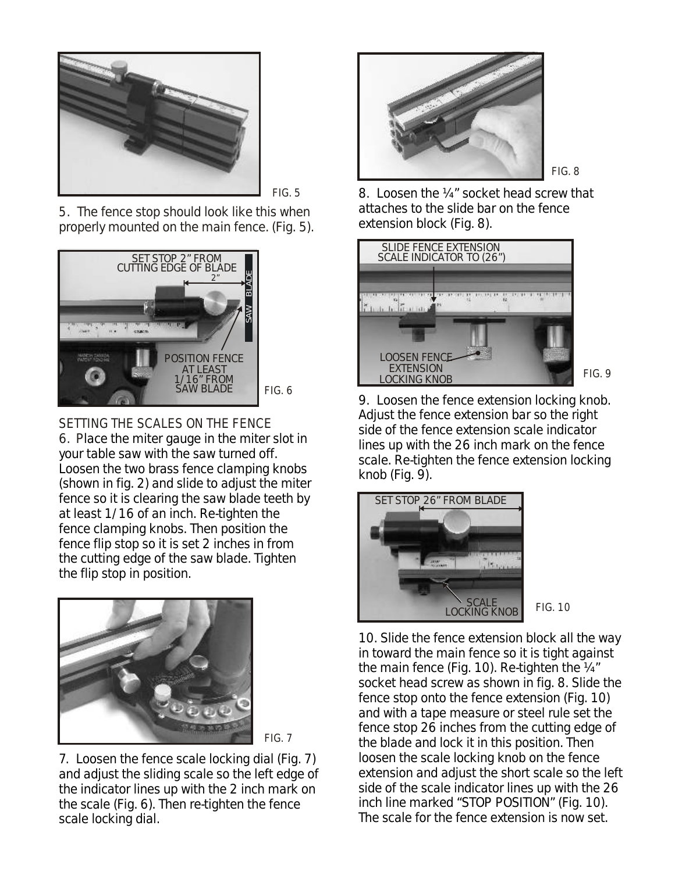

FIG. 5

5. The fence stop should look like this when properly mounted on the main fence. (Fig. 5).



SETTING THE SCALES ON THE FENCE 6. Place the miter gauge in the miter slot in your table saw with the saw turned off. Loosen the two brass fence clamping knobs (shown in fig. 2) and slide to adjust the miter fence so it is clearing the saw blade teeth by at least 1/16 of an inch. Re-tighten the fence clamping knobs. Then position the fence flip stop so it is set 2 inches in from the cutting edge of the saw blade. Tighten the flip stop in position.





7. Loosen the fence scale locking dial (Fig. 7) and adjust the sliding scale so the left edge of the indicator lines up with the 2 inch mark on the scale (Fig. 6). Then re-tighten the fence scale locking dial.



FIG. 8

8. Loosen the ¼" socket head screw that attaches to the slide bar on the fence extension block (Fig. 8).



9. Loosen the fence extension locking knob. Adjust the fence extension bar so the right side of the fence extension scale indicator lines up with the 26 inch mark on the fence scale. Re-tighten the fence extension locking knob (Fig. 9).



10. Slide the fence extension block all the way in toward the main fence so it is tight against the main fence (Fig. 10). Re-tighten the ¼" socket head screw as shown in fig. 8. Slide the fence stop onto the fence extension (Fig. 10) and with a tape measure or steel rule set the fence stop 26 inches from the cutting edge of the blade and lock it in this position. Then loosen the scale locking knob on the fence extension and adjust the short scale so the left side of the scale indicator lines up with the 26 inch line marked "STOP POSITION" (Fig. 10). The scale for the fence extension is now set.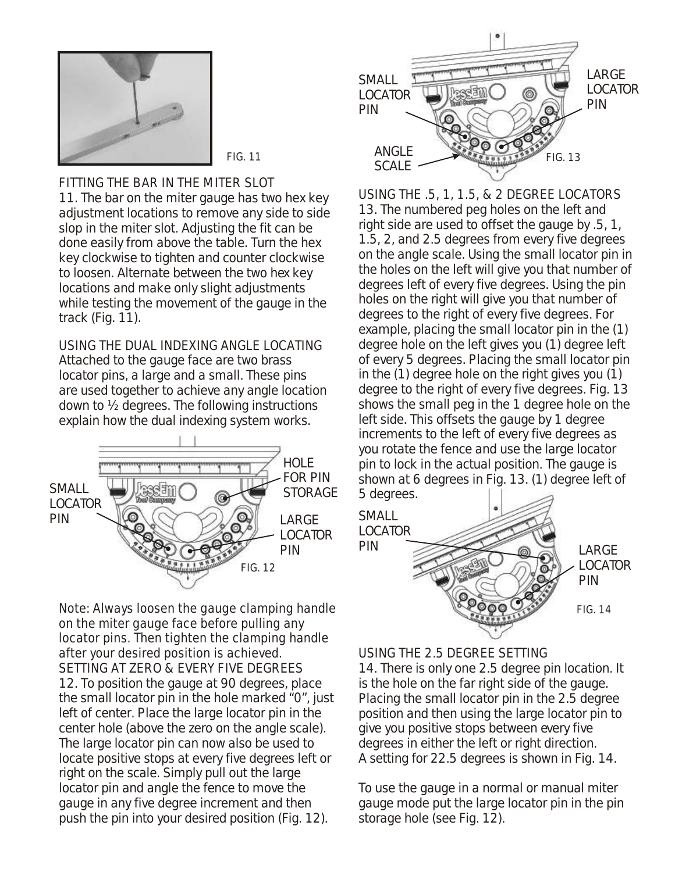

FITTING THE BAR IN THE MITER SLOT 11. The bar on the miter gauge has two hex key adjustment locations to remove any side to side slop in the miter slot. Adjusting the fit can be done easily from above the table. Turn the hex key clockwise to tighten and counter clockwise to loosen. Alternate between the two hex key locations and make only slight adjustments while testing the movement of the gauge in the track (Fig. 11).

USING THE DUAL INDEXING ANGLE LOCATING Attached to the gauge face are two brass locator pins, a large and a small. These pins are used together to achieve any angle location down to ½ degrees. The following instructions explain how the dual indexing system works.



on the miter gauge face before pulling any locator pins. Then tighten the clamping handle after your desired position is achieved. SETTING AT ZERO & EVERY FIVE DEGREES 12. To position the gauge at 90 degrees, place the small locator pin in the hole marked "0", just left of center. Place the large locator pin in the center hole (above the zero on the angle scale). The large locator pin can now also be used to locate positive stops at every five degrees left or right on the scale. Simply pull out the large locator pin and angle the fence to move the gauge in any five degree increment and then push the pin into your desired position (Fig. 12).



USING THE .5, 1, 1.5, & 2 DEGREE LOCATORS 13. The numbered peg holes on the left and right side are used to offset the gauge by .5, 1, 1.5, 2, and 2.5 degrees from every five degrees on the angle scale. Using the small locator pin in the holes on the left will give you that number of degrees left of every five degrees. Using the pin holes on the right will give you that number of degrees to the right of every five degrees. For example, placing the small locator pin in the (1) degree hole on the left gives you (1) degree left of every 5 degrees. Placing the small locator pin in the (1) degree hole on the right gives you (1) degree to the right of every five degrees. Fig. 13 shows the small peg in the 1 degree hole on the left side. This offsets the gauge by 1 degree increments to the left of every five degrees as you rotate the fence and use the large locator pin to lock in the actual position. The gauge is shown at 6 degrees in Fig. 13. (1) degree left of 5 degrees.



USING THE 2.5 DEGREE SETTING 14. There is only one 2.5 degree pin location. It is the hole on the far right side of the gauge. Placing the small locator pin in the 2.5 degree position and then using the large locator pin to

give you positive stops between every five degrees in either the left or right direction. A setting for 22.5 degrees is shown in Fig. 14.

To use the gauge in a normal or manual miter gauge mode put the large locator pin in the pin storage hole (see Fig. 12).